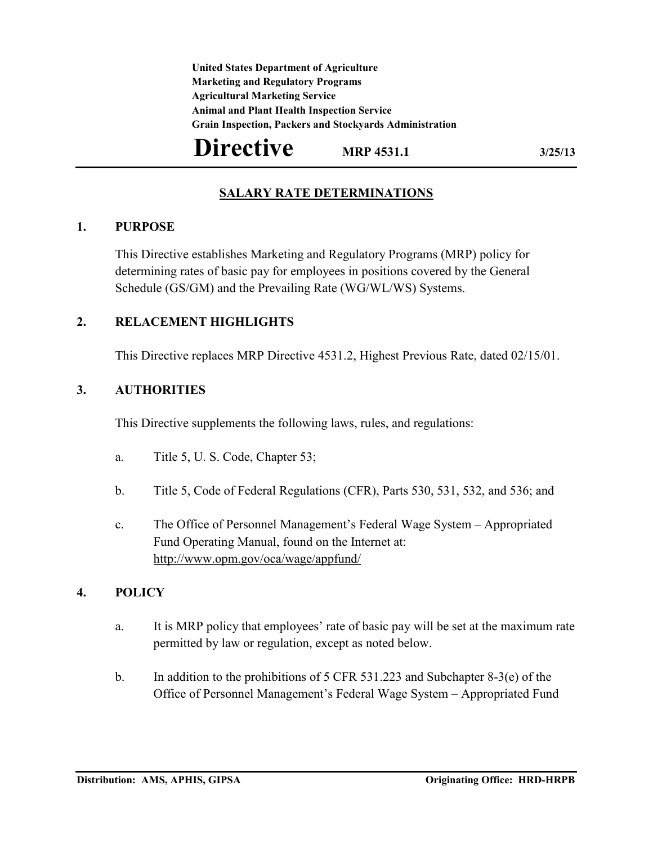**United States Department of Agriculture Marketing and Regulatory Programs Agricultural Marketing Service Animal and Plant Health Inspection Service Grain Inspection, Packers and Stockyards Administration**

# **Directive** MRP 4531.1 3/25/13

# **SALARY RATE DETERMINATIONS**

#### **1. PURPOSE**

This Directive establishes Marketing and Regulatory Programs (MRP) policy for determining rates of basic pay for employees in positions covered by the General Schedule (GS/GM) and the Prevailing Rate (WG/WL/WS) Systems.

### **2. RELACEMENT HIGHLIGHTS**

This Directive replaces MRP Directive 4531.2, Highest Previous Rate, dated 02/15/01.

## **3. AUTHORITIES**

This Directive supplements the following laws, rules, and regulations:

- a. Title 5, U. S. Code, Chapter 53;
- b. Title 5, Code of Federal Regulations (CFR), Parts 530, 531, 532, and 536; and
- c. The Office of Personnel Management's Federal Wage System Appropriated Fund Operating Manual, found on the Internet at: <http://www.opm.gov/oca/wage/appfund/>

### **4. POLICY**

- a. It is MRP policy that employees' rate of basic pay will be set at the maximum rate permitted by law or regulation, except as noted below.
- b. In addition to the prohibitions of 5 CFR 531.223 and Subchapter 8-3(e) of the Office of Personnel Management's Federal Wage System – Appropriated Fund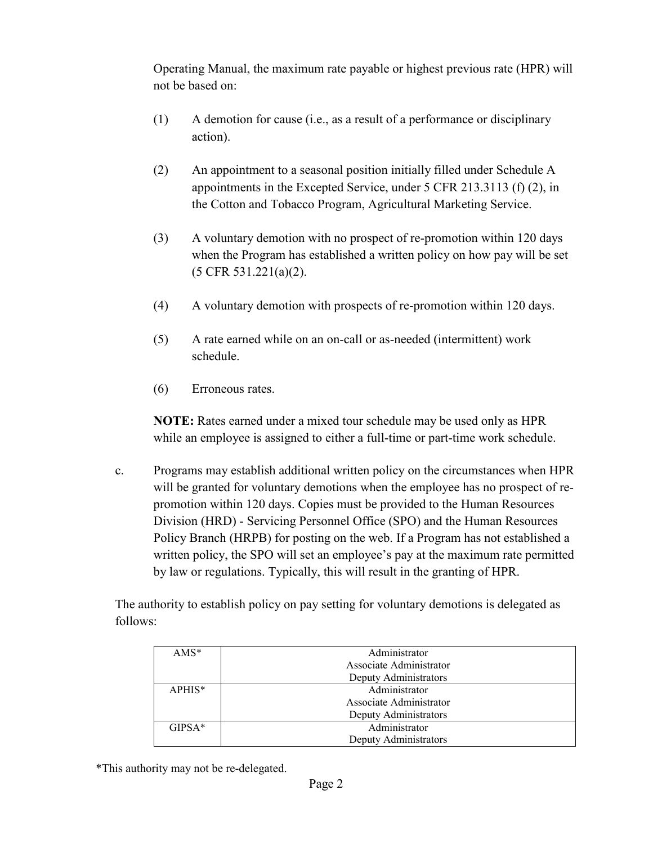Operating Manual, the maximum rate payable or highest previous rate (HPR) will not be based on:

- (1) A demotion for cause (i.e., as a result of a performance or disciplinary action).
- (2) An appointment to a seasonal position initially filled under Schedule A appointments in the Excepted Service, under 5 CFR 213.3113 (f) (2), in the Cotton and Tobacco Program, Agricultural Marketing Service.
- (3) A voluntary demotion with no prospect of re-promotion within 120 days when the Program has established a written policy on how pay will be set (5 CFR 531.221(a)(2).
- (4) A voluntary demotion with prospects of re-promotion within 120 days.
- (5) A rate earned while on an on-call or as-needed (intermittent) work schedule.
- (6) Erroneous rates.

**NOTE:** Rates earned under a mixed tour schedule may be used only as HPR while an employee is assigned to either a full-time or part-time work schedule.

c. Programs may establish additional written policy on the circumstances when HPR will be granted for voluntary demotions when the employee has no prospect of repromotion within 120 days. Copies must be provided to the Human Resources Division (HRD) - Servicing Personnel Office (SPO) and the Human Resources Policy Branch (HRPB) for posting on the web. If a Program has not established a written policy, the SPO will set an employee's pay at the maximum rate permitted by law or regulations. Typically, this will result in the granting of HPR.

The authority to establish policy on pay setting for voluntary demotions is delegated as follows:

| $AMS*$   | Administrator           |
|----------|-------------------------|
|          | Associate Administrator |
|          | Deputy Administrators   |
| $APHIS*$ | Administrator           |
|          | Associate Administrator |
|          | Deputy Administrators   |
| $GIPSA*$ | Administrator           |
|          | Deputy Administrators   |

\*This authority may not be re-delegated.